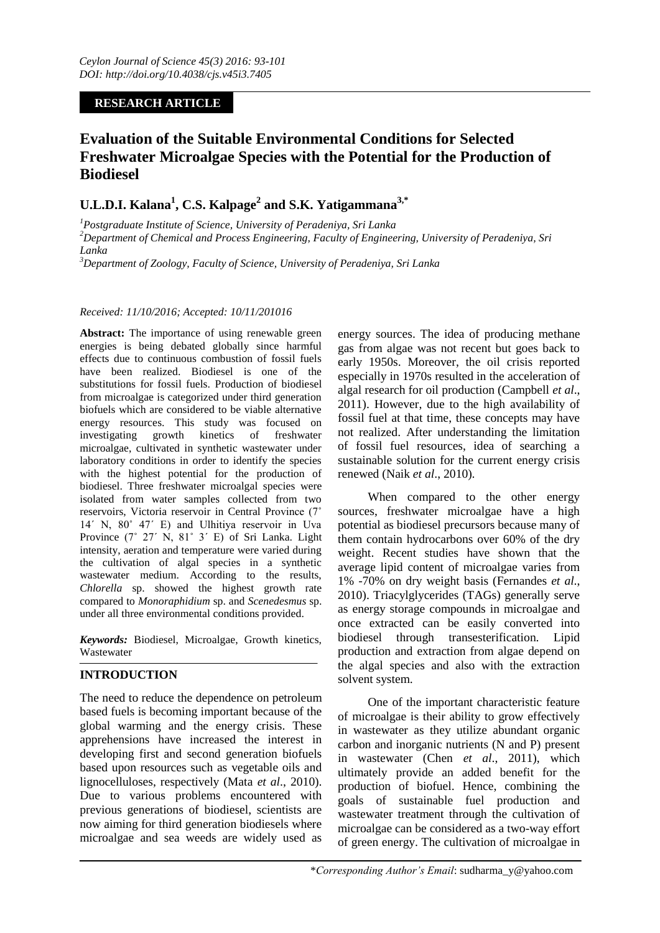# **RESEARCH ARTICLE**

# **Evaluation of the Suitable Environmental Conditions for Selected Freshwater Microalgae Species with the Potential for the Production of Biodiesel**

# **U.L.D.I. Kalana<sup>1</sup> , C.S. Kalpage<sup>2</sup> and S.K. Yatigammana3,\***

*<sup>1</sup>Postgraduate Institute of Science, University of Peradeniya, Sri Lanka <sup>2</sup>Department of Chemical and Process Engineering, Faculty of Engineering, University of Peradeniya, Sri Lanka*

*<sup>3</sup>Department of Zoology, Faculty of Science, University of Peradeniya, Sri Lanka*

## *Received: 11/10/2016; Accepted: 10/11/201016*

**Abstract:** The importance of using renewable green energies is being debated globally since harmful effects due to continuous combustion of fossil fuels have been realized. Biodiesel is one of the substitutions for fossil fuels. Production of biodiesel from microalgae is categorized under third generation biofuels which are considered to be viable alternative energy resources. This study was focused on investigating growth kinetics of freshwater microalgae, cultivated in synthetic wastewater under laboratory conditions in order to identify the species with the highest potential for the production of biodiesel. Three freshwater microalgal species were isolated from water samples collected from two reservoirs, Victoria reservoir in Central Province (7˚ 14ˊ N, 80˚ 47ˊ E) and Ulhitiya reservoir in Uva Province (7˚ 27ˊ N, 81˚ 3ˊ E) of Sri Lanka. Light intensity, aeration and temperature were varied during the cultivation of algal species in a synthetic wastewater medium. According to the results, *Chlorella* sp. showed the highest growth rate compared to *Monoraphidium* sp. and *Scenedesmus* sp. under all three environmental conditions provided.

*Keywords:* Biodiesel, Microalgae, Growth kinetics, Wastewater

# **INTRODUCTION**

The need to reduce the dependence on petroleum based fuels is becoming important because of the global warming and the energy crisis. These apprehensions have increased the interest in developing first and second generation biofuels based upon resources such as vegetable oils and lignocelluloses, respectively (Mata *et al*., 2010). Due to various problems encountered with previous generations of biodiesel, scientists are now aiming for third generation biodiesels where microalgae and sea weeds are widely used as

energy sources. The idea of producing methane gas from algae was not recent but goes back to early 1950s. Moreover, the oil crisis reported especially in 1970s resulted in the acceleration of algal research for oil production (Campbell *et al*., 2011). However, due to the high availability of fossil fuel at that time, these concepts may have not realized. After understanding the limitation of fossil fuel resources, idea of searching a sustainable solution for the current energy crisis renewed (Naik *et al*., 2010).

When compared to the other energy sources, freshwater microalgae have a high potential as biodiesel precursors because many of them contain hydrocarbons over 60% of the dry weight. Recent studies have shown that the average lipid content of microalgae varies from 1% -70% on dry weight basis (Fernandes *et al*., 2010). Triacylglycerides (TAGs) generally serve as energy storage compounds in microalgae and once extracted can be easily converted into biodiesel through transesterification. Lipid production and extraction from algae depend on the algal species and also with the extraction solvent system.

One of the important characteristic feature of microalgae is their ability to grow effectively in wastewater as they utilize abundant organic carbon and inorganic nutrients (N and P) present in wastewater (Chen *et al*., 2011), which ultimately provide an added benefit for the production of biofuel. Hence, combining the goals of sustainable fuel production and wastewater treatment through the cultivation of microalgae can be considered as a two-way effort of green energy. The cultivation of microalgae in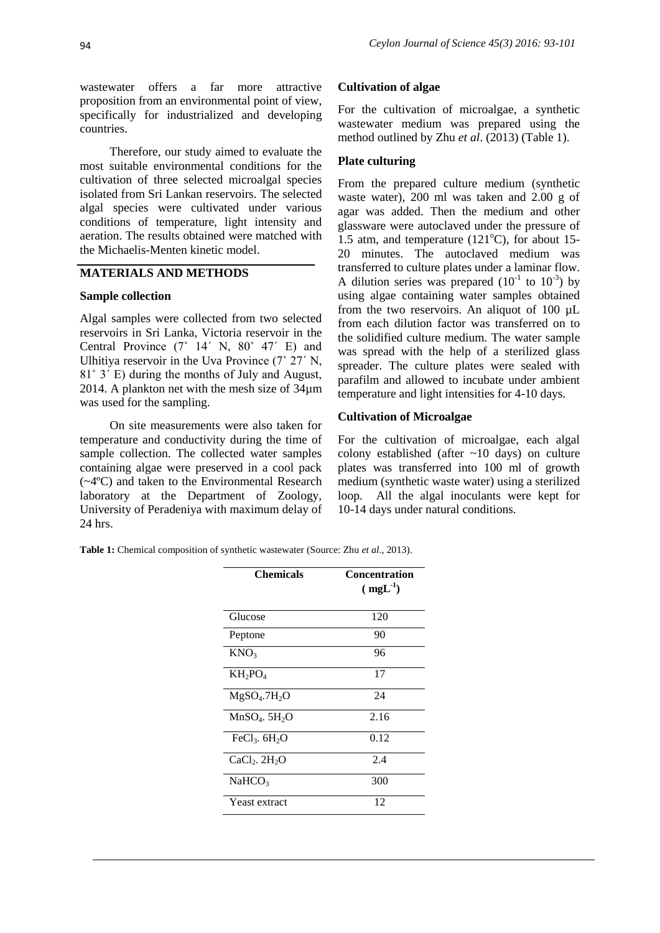wastewater offers a far more attractive proposition from an environmental point of view, specifically for industrialized and developing countries.

Therefore, our study aimed to evaluate the most suitable environmental conditions for the cultivation of three selected microalgal species isolated from Sri Lankan reservoirs. The selected algal species were cultivated under various conditions of temperature, light intensity and aeration. The results obtained were matched with the Michaelis-Menten kinetic model.

# **MATERIALS AND METHODS**

### **Sample collection**

Algal samples were collected from two selected reservoirs in Sri Lanka, Victoria reservoir in the Central Province (7˚ 14ˊ N, 80˚ 47ˊ E) and Ulhitiya reservoir in the Uva Province (7˚ 27ˊ N, 81˚ 3ˊ E) during the months of July and August, 2014. A plankton net with the mesh size of 34µm was used for the sampling.

On site measurements were also taken for temperature and conductivity during the time of sample collection. The collected water samples containing algae were preserved in a cool pack (~4ºC) and taken to the Environmental Research laboratory at the Department of Zoology, University of Peradeniya with maximum delay of 24 hrs.

#### **Cultivation of algae**

For the cultivation of microalgae, a synthetic wastewater medium was prepared using the method outlined by Zhu *et al*. (2013) (Table 1).

#### **Plate culturing**

From the prepared culture medium (synthetic waste water), 200 ml was taken and 2.00 g of agar was added. Then the medium and other glassware were autoclaved under the pressure of 1.5 atm, and temperature  $(121^{\circ}$ C), for about 15-20 minutes. The autoclaved medium was transferred to culture plates under a laminar flow. A dilution series was prepared  $(10^{-1}$  to  $10^{-3})$  by using algae containing water samples obtained from the two reservoirs. An aliquot of 100 µL from each dilution factor was transferred on to the solidified culture medium. The water sample was spread with the help of a sterilized glass spreader. The culture plates were sealed with parafilm and allowed to incubate under ambient temperature and light intensities for 4-10 days.

# **Cultivation of Microalgae**

For the cultivation of microalgae, each algal colony established (after ~10 days) on culture plates was transferred into 100 ml of growth medium (synthetic waste water) using a sterilized loop. All the algal inoculants were kept for 10-14 days under natural conditions.

**Table 1:** Chemical composition of synthetic wastewater (Source: Zhu *et al*., 2013).

| <b>Chemicals</b>                     | <b>Concentration</b><br>$(mgL-1)$ |
|--------------------------------------|-----------------------------------|
| Glucose                              | 120                               |
| Peptone                              | 90                                |
| KNO <sub>3</sub>                     | 96                                |
| $KH_2PO_4$                           | 17                                |
| MgSO <sub>4</sub> .7H <sub>2</sub> O | 24                                |
| $MnSO4$ . 5H <sub>2</sub> O          | 2.16                              |
| FeCl <sub>3</sub> . $6H_2O$          | 0.12                              |
| $CaCl2$ . $2H2O$                     | 2.4                               |
| NaHCO <sub>3</sub>                   | 300                               |
| Yeast extract                        | 12                                |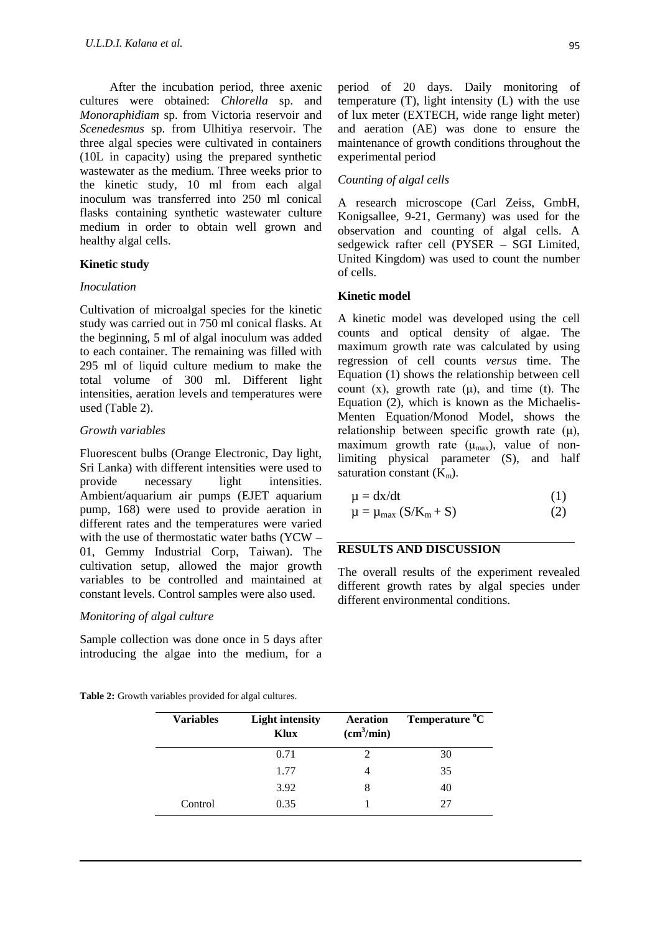After the incubation period, three axenic cultures were obtained: *Chlorella* sp. and *Monoraphidiam* sp. from Victoria reservoir and *Scenedesmus* sp. from Ulhitiya reservoir. The three algal species were cultivated in containers (10L in capacity) using the prepared synthetic wastewater as the medium. Three weeks prior to the kinetic study, 10 ml from each algal inoculum was transferred into 250 ml conical flasks containing synthetic wastewater culture medium in order to obtain well grown and healthy algal cells.

# **Kinetic study**

#### *Inoculation*

Cultivation of microalgal species for the kinetic study was carried out in 750 ml conical flasks. At the beginning, 5 ml of algal inoculum was added to each container. The remaining was filled with 295 ml of liquid culture medium to make the total volume of 300 ml. Different light intensities, aeration levels and temperatures were used (Table 2).

## *Growth variables*

Fluorescent bulbs (Orange Electronic, Day light, Sri Lanka) with different intensities were used to provide necessary light intensities. Ambient/aquarium air pumps (EJET aquarium pump, 168) were used to provide aeration in different rates and the temperatures were varied with the use of thermostatic water baths (YCW – 01, Gemmy Industrial Corp, Taiwan). The cultivation setup, allowed the major growth variables to be controlled and maintained at constant levels. Control samples were also used.

# *Monitoring of algal culture*

Sample collection was done once in 5 days after introducing the algae into the medium, for a

period of 20 days. Daily monitoring of temperature (T), light intensity (L) with the use of lux meter (EXTECH, wide range light meter) and aeration (AE) was done to ensure the maintenance of growth conditions throughout the experimental period

# *Counting of algal cells*

A research microscope (Carl Zeiss, GmbH, Konigsallee, 9-21, Germany) was used for the observation and counting of algal cells. A sedgewick rafter cell (PYSER – SGI Limited, United Kingdom) was used to count the number of cells.

### **Kinetic model**

A kinetic model was developed using the cell counts and optical density of algae. The maximum growth rate was calculated by using regression of cell counts *versus* time. The Equation (1) shows the relationship between cell count (x), growth rate  $(\mu)$ , and time (t). The Equation (2), which is known as the Michaelis-Menten Equation/Monod Model, shows the relationship between specific growth rate (μ), maximum growth rate  $(\mu_{max})$ , value of nonlimiting physical parameter (S), and half saturation constant  $(K_m)$ .

$$
\mu = dx/dt \tag{1}
$$

$$
\mu = \mu_{\text{max}} (S/K_m + S) \tag{2}
$$

# **RESULTS AND DISCUSSION**

The overall results of the experiment revealed different growth rates by algal species under different environmental conditions.

| <b>Table 2:</b> Growth variables provided for algal cultures. |  |  |  |
|---------------------------------------------------------------|--|--|--|
|                                                               |  |  |  |

| <b>Variables</b> | <b>Light intensity</b><br><b>Aeration</b><br>(cm <sup>3</sup> /min)<br>Klux |                             | Temperature <sup>o</sup> C |  |
|------------------|-----------------------------------------------------------------------------|-----------------------------|----------------------------|--|
|                  | 0.71                                                                        | $\mathcal{D}_{\mathcal{A}}$ | 30                         |  |
|                  | 1.77                                                                        |                             | 35                         |  |
|                  | 3.92                                                                        | 8                           | 40                         |  |
| Control          | 0.35                                                                        |                             | 27                         |  |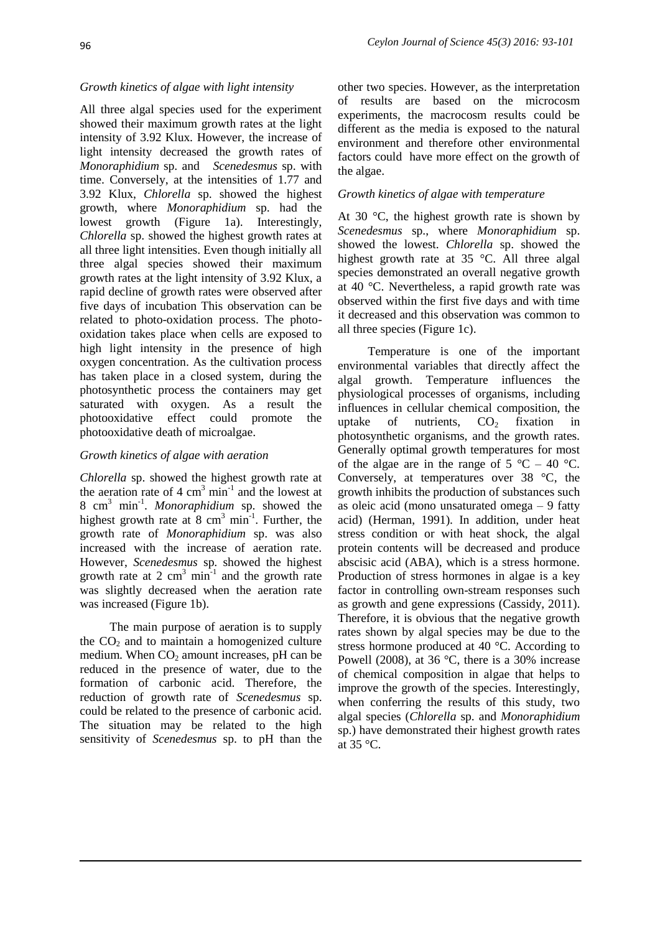# *Growth kinetics of algae with light intensity*

All three algal species used for the experiment showed their maximum growth rates at the light intensity of 3.92 Klux. However, the increase of light intensity decreased the growth rates of *Monoraphidium* sp. and *Scenedesmus* sp. with time. Conversely, at the intensities of 1.77 and 3.92 Klux, *Chlorella* sp. showed the highest growth, where *Monoraphidium* sp. had the lowest growth (Figure 1a). Interestingly, *Chlorella* sp. showed the highest growth rates at all three light intensities. Even though initially all three algal species showed their maximum growth rates at the light intensity of 3.92 Klux, a rapid decline of growth rates were observed after five days of incubation This observation can be related to photo-oxidation process. The photooxidation takes place when cells are exposed to high light intensity in the presence of high oxygen concentration. As the cultivation process has taken place in a closed system, during the photosynthetic process the containers may get saturated with oxygen. As a result the photooxidative effect could promote the photooxidative death of microalgae.

## *Growth kinetics of algae with aeration*

*Chlorella* sp. showed the highest growth rate at the aeration rate of  $4 \text{ cm}^3 \text{ min}^{-1}$  and the lowest at 8 cm<sup>3</sup> min-1 . *Monoraphidium* sp. showed the highest growth rate at 8  $\text{cm}^3$  min<sup>-1</sup>. Further, the growth rate of *Monoraphidium* sp. was also increased with the increase of aeration rate. However, *Scenedesmus* sp. showed the highest growth rate at 2  $\text{cm}^3$  min<sup>-1</sup> and the growth rate was slightly decreased when the aeration rate was increased (Figure 1b).

The main purpose of aeration is to supply the  $CO<sub>2</sub>$  and to maintain a homogenized culture medium. When  $CO<sub>2</sub>$  amount increases, pH can be reduced in the presence of water, due to the formation of carbonic acid. Therefore, the reduction of growth rate of *Scenedesmus* sp. could be related to the presence of carbonic acid. The situation may be related to the high sensitivity of *Scenedesmus* sp. to pH than the

other two species. However, as the interpretation of results are based on the microcosm experiments, the macrocosm results could be different as the media is exposed to the natural environment and therefore other environmental factors could have more effect on the growth of the algae.

### *Growth kinetics of algae with temperature*

At 30  $\degree$ C, the highest growth rate is shown by *Scenedesmus* sp., where *Monoraphidium* sp. showed the lowest. *Chlorella* sp. showed the highest growth rate at 35 °C. All three algal species demonstrated an overall negative growth at 40 °C. Nevertheless, a rapid growth rate was observed within the first five days and with time it decreased and this observation was common to all three species (Figure 1c).

Temperature is one of the important environmental variables that directly affect the algal growth. Temperature influences the physiological processes of organisms, including influences in cellular chemical composition, the uptake of nutrients,  $CO<sub>2</sub>$  fixation in photosynthetic organisms, and the growth rates. Generally optimal growth temperatures for most of the algae are in the range of  $5^{\circ}$ C – 40  $^{\circ}$ C. Conversely, at temperatures over 38 °C, the growth inhibits the production of substances such as oleic acid (mono unsaturated omega – 9 fatty acid) (Herman, 1991). In addition, under heat stress condition or with heat shock, the algal protein contents will be decreased and produce abscisic acid (ABA), which is a stress hormone. Production of stress hormones in algae is a key factor in controlling own-stream responses such as growth and gene expressions (Cassidy, 2011). Therefore, it is obvious that the negative growth rates shown by algal species may be due to the stress hormone produced at 40 °C. According to Powell (2008), at 36 °C, there is a 30% increase of chemical composition in algae that helps to improve the growth of the species. Interestingly, when conferring the results of this study, two algal species (*Chlorella* sp. and *Monoraphidium*  sp.) have demonstrated their highest growth rates at 35 °C.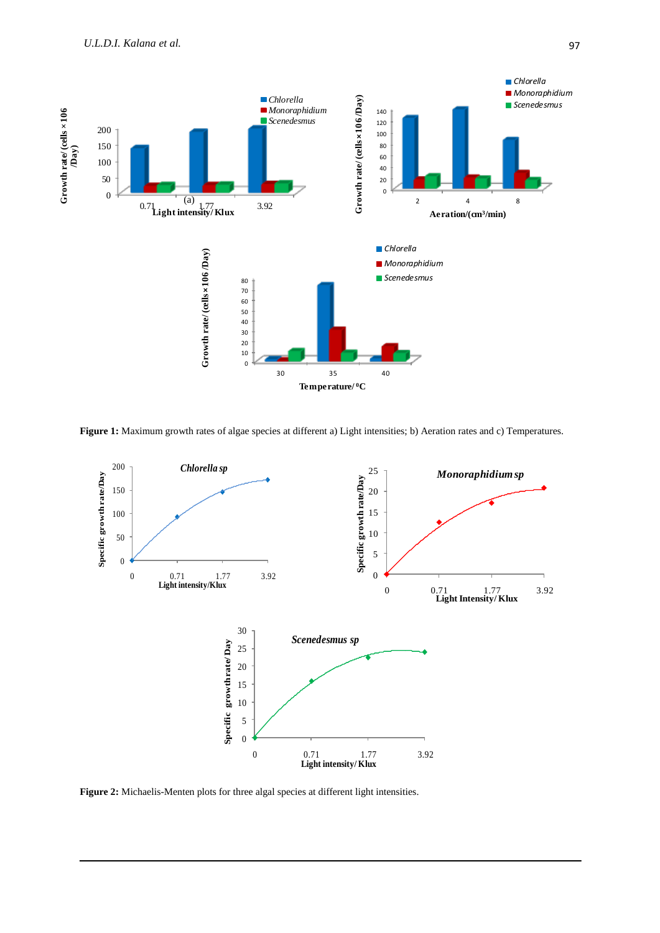

**Figure 1:** Maximum growth rates of algae species at different a) Light intensities; b) Aeration rates and c) Temperatures.



**Figure 2:** Michaelis-Menten plots for three algal species at different light intensities.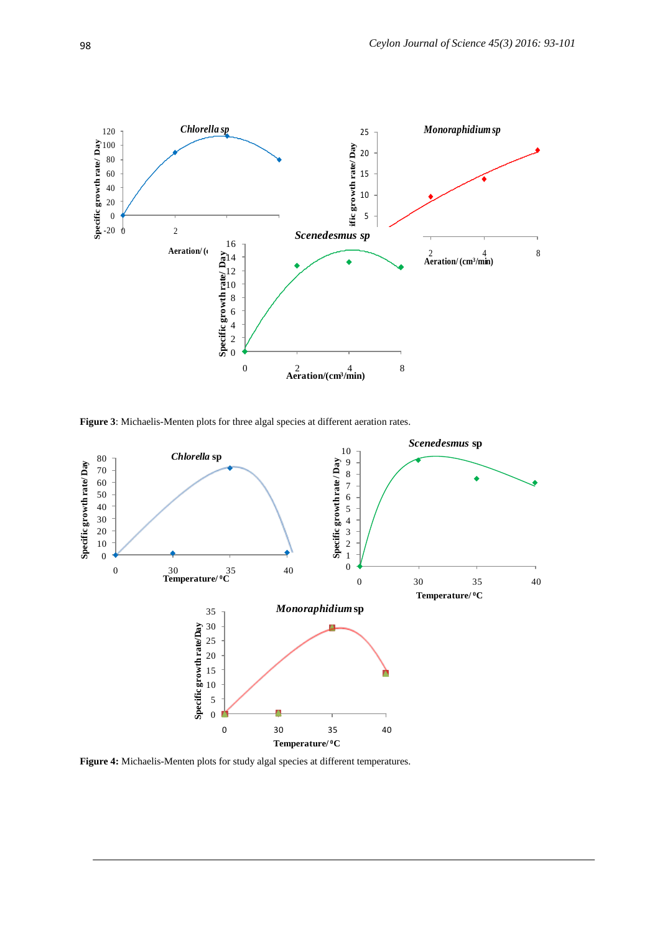

**Figure 3**: Michaelis-Menten plots for three algal species at different aeration rates.



**Figure 4:** Michaelis-Menten plots for study algal species at different temperatures.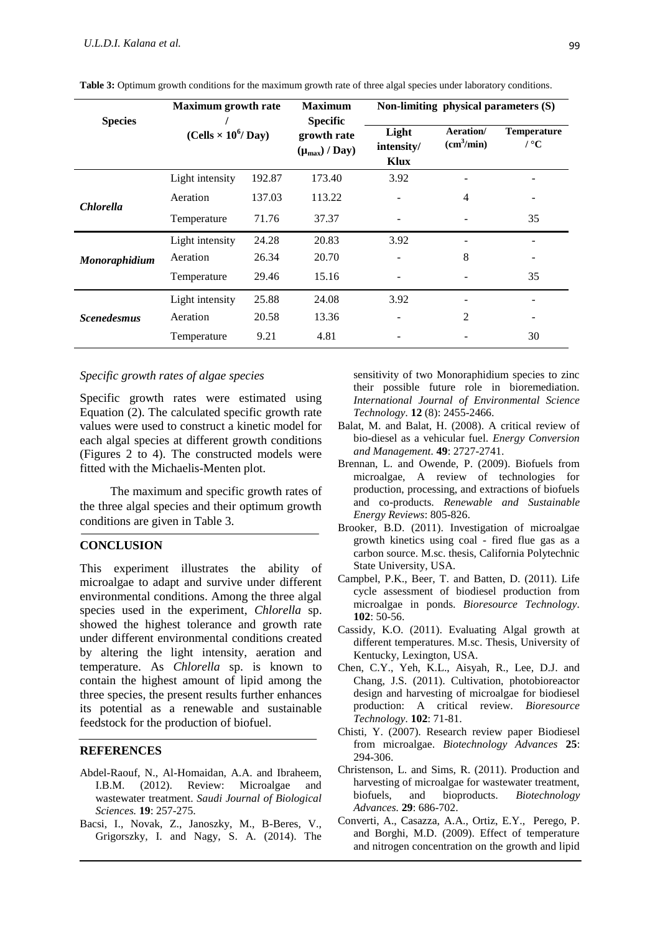|                    | <b>Maximum</b> growth rate<br>(Cells $\times$ 10 <sup>6</sup> /Day) |        | <b>Maximum</b>                                         | Non-limiting physical parameters $(S)$ |                                     |                                   |
|--------------------|---------------------------------------------------------------------|--------|--------------------------------------------------------|----------------------------------------|-------------------------------------|-----------------------------------|
| <b>Species</b>     |                                                                     |        | <b>Specific</b><br>growth rate<br>$(\mu_{max})$ / Day) | Light<br>intensity/<br>Klux            | Aeration/<br>(cm <sup>3</sup> /min) | <b>Temperature</b><br>$\prime$ °C |
|                    | Light intensity                                                     | 192.87 | 173.40                                                 | 3.92                                   |                                     |                                   |
| <b>Chlorella</b>   | Aeration                                                            | 137.03 | 113.22                                                 |                                        | 4                                   |                                   |
|                    | Temperature                                                         | 71.76  | 37.37                                                  |                                        |                                     | 35                                |
| Monoraphidium      | Light intensity                                                     | 24.28  | 20.83                                                  | 3.92                                   |                                     |                                   |
|                    | Aeration                                                            | 26.34  | 20.70                                                  |                                        | 8                                   |                                   |
|                    | Temperature                                                         | 29.46  | 15.16                                                  |                                        |                                     | 35                                |
| <b>Scenedesmus</b> | Light intensity                                                     | 25.88  | 24.08                                                  | 3.92                                   |                                     |                                   |
|                    | Aeration                                                            | 20.58  | 13.36                                                  |                                        | $\mathfrak{D}$                      |                                   |
|                    | Temperature                                                         | 9.21   | 4.81                                                   |                                        |                                     | 30                                |

**Table 3:** Optimum growth conditions for the maximum growth rate of three algal species under laboratory conditions.

#### *Specific growth rates of algae species*

Specific growth rates were estimated using Equation (2). The calculated specific growth rate values were used to construct a kinetic model for each algal species at different growth conditions (Figures 2 to 4). The constructed models were fitted with the Michaelis-Menten plot.

 The maximum and specific growth rates of the three algal species and their optimum growth conditions are given in Table 3.

#### **CONCLUSION**

This experiment illustrates the ability of microalgae to adapt and survive under different environmental conditions. Among the three algal species used in the experiment, *Chlorella* sp. showed the highest tolerance and growth rate under different environmental conditions created by altering the light intensity, aeration and temperature. As *Chlorella* sp. is known to contain the highest amount of lipid among the three species, the present results further enhances its potential as a renewable and sustainable feedstock for the production of biofuel.

#### **REFERENCES**

- Abdel-Raouf, N., Al-Homaidan, A.A. and Ibraheem, I.B.M. (2012). Review: Microalgae and wastewater treatment. *Saudi Journal of Biological Sciences.* **19**: 257-275.
- Bacsi, I., Novak, Z., Janoszky, M., B-Beres, V., Grigorszky, I. and Nagy, S. A. (2014). The

sensitivity of two Monoraphidium species to zinc their possible future role in bioremediation. *International Journal of Environmental Science Technology.* **12** (8): 2455-2466.

- Balat, M. and Balat, H. (2008). A critical review of bio-diesel as a vehicular fuel. *Energy Conversion and Management.* **49**: 2727-2741.
- Brennan, L. and Owende, P. (2009). Biofuels from microalgae, A review of technologies for production, processing, and extractions of biofuels and co-products. *Renewable and Sustainable Energy Reviews*: 805-826.
- Brooker, B.D. (2011). Investigation of microalgae growth kinetics using coal - fired flue gas as a carbon source. M.sc. thesis, California Polytechnic State University, USA.
- Campbel, P.K., Beer, T. and Batten, D. (2011). Life cycle assessment of biodiesel production from microalgae in ponds. *Bioresource Technology.* **102**: 50-56.
- Cassidy, K.O. (2011). Evaluating Algal growth at different temperatures. M.sc. Thesis, University of Kentucky, Lexington, USA.
- Chen, C.Y., Yeh, K.L., Aisyah, R., Lee, D.J. and Chang, J.S. (2011). Cultivation, photobioreactor design and harvesting of microalgae for biodiesel production: A critical review. *Bioresource Technology.* **102**: 71-81.
- Chisti, Y. (2007). Research review paper Biodiesel from microalgae. *Biotechnology Advances* **25**: 294-306.
- Christenson, L. and Sims, R. (2011). Production and harvesting of microalgae for wastewater treatment, biofuels, and bioproducts. *Biotechnology Advances.* **29**: 686-702.
- Converti, A., Casazza, A.A., Ortiz, E.Y., Perego, P. and Borghi, M.D. (2009). Effect of temperature and nitrogen concentration on the growth and lipid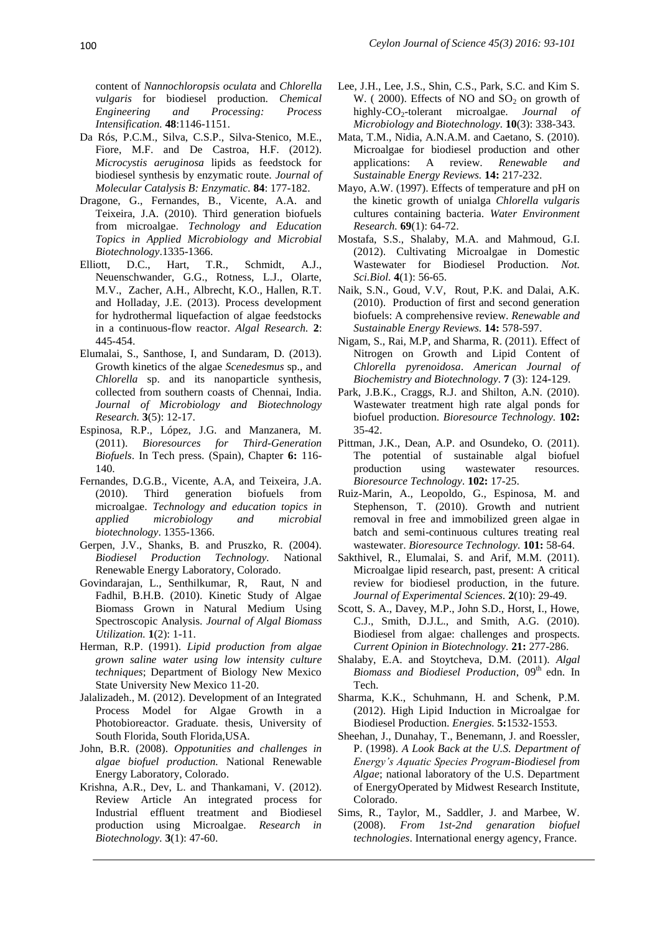content of *Nannochloropsis oculata* and *Chlorella vulgaris* for biodiesel production. *Chemical Engineering and Processing: Process Intensification.* **48**:1146-1151.

- Da Rós, P.C.M., Silva, C.S.P., Silva-Stenico, M.E., Fiore, M.F. and De Castroa, H.F. (2012). *Microcystis aeruginosa* lipids as feedstock for biodiesel synthesis by enzymatic route. *Journal of Molecular Catalysis B: Enzymatic.* **84**: 177-182.
- Dragone, G., Fernandes, B., Vicente, A.A. and Teixeira, J.A. (2010). Third generation biofuels from microalgae. *Technology and Education Topics in Applied Microbiology and Microbial Biotechnology*.1335-1366.
- Elliott, D.C., Hart, T.R., Schmidt, A.J., Neuenschwander, G.G., Rotness, L.J., Olarte, M.V., Zacher, A.H., Albrecht, K.O., Hallen, R.T. and Holladay, J.E. (2013). Process development for hydrothermal liquefaction of algae feedstocks in a continuous-flow reactor. *Algal Research.* **2**: 445-454.
- Elumalai, S., Santhose, I, and Sundaram, D. (2013). Growth kinetics of the algae *Scenedesmus* sp., and *Chlorella* sp. and its nanoparticle synthesis, collected from southern coasts of Chennai, India. *Journal of Microbiology and Biotechnology Research.* **3**(5): 12-17.
- Espinosa, R.P., López, J.G. and Manzanera, M. (2011). *Bioresources for Third-Generation Biofuels*. In Tech press. (Spain), Chapter **6:** 116- 140.
- Fernandes, D.G.B., Vicente, A.A, and Teixeira, J.A. (2010). Third generation biofuels from microalgae. *Technology and education topics in applied microbiology and microbial biotechnology*. 1355-1366.
- Gerpen, J.V., Shanks, B. and Pruszko, R. (2004). *Biodiesel Production Technology.* National Renewable Energy Laboratory, Colorado.
- Govindarajan, L., Senthilkumar, R, Raut, N and Fadhil, B.H.B. (2010). Kinetic Study of Algae Biomass Grown in Natural Medium Using Spectroscopic Analysis. *Journal of Algal Biomass Utilization.* **1**(2): 1-11.
- Herman, R.P. (1991). *Lipid production from algae grown saline water using low intensity culture techniques*; Department of Biology New Mexico State University New Mexico 11-20.
- Jalalizadeh., M. (2012). Development of an Integrated Process Model for Algae Growth in a Photobioreactor. Graduate. thesis, University of South Florida, South Florida,USA.
- John, B.R. (2008). *Oppotunities and challenges in algae biofuel production.* National Renewable Energy Laboratory*,* Colorado.
- Krishna, A.R., Dev, L. and Thankamani, V. (2012). Review Article An integrated process for Industrial effluent treatment and Biodiesel production using Microalgae. *Research in Biotechnology.* **3**(1): 47-60.
- Lee, J.H., Lee, J.S., Shin, C.S., Park, S.C. and Kim S. W. (2000). Effects of NO and  $SO<sub>2</sub>$  on growth of highly-CO<sub>2</sub>-tolerant microalgae. *Journal of Microbiology and Biotechnology.* **10**(3): 338-343.
- Mata, T.M., Nidia, A.N.A.M. and Caetano, S. (2010). Microalgae for biodiesel production and other applications: A review. *Renewable and Sustainable Energy Reviews.* **14:** 217-232.
- Mayo, A.W. (1997). Effects of temperature and pH on the kinetic growth of unialga *Chlorella vulgaris* cultures containing bacteria. *Water Environment Research.* **69**(1): 64-72.
- Mostafa, S.S., Shalaby, M.A. and Mahmoud, G.I. (2012). Cultivating Microalgae in Domestic Wastewater for Biodiesel Production. *Not. Sci.Biol.* **4**(1): 56-65.
- Naik, S.N., Goud, V.V, Rout, P.K. and Dalai, A.K. (2010). Production of first and second generation biofuels: A comprehensive review. *Renewable and Sustainable Energy Reviews.* **14:** 578-597.
- Nigam, S., Rai, M.P, and Sharma, R. (2011). Effect of Nitrogen on Growth and Lipid Content of *Chlorella pyrenoidosa*. *American Journal of Biochemistry and Biotechnology.* **7** (3): 124-129.
- Park, J.B.K., Craggs, R.J. and Shilton, A.N. (2010). Wastewater treatment high rate algal ponds for biofuel production. *Bioresource Technology.* **102:** 35-42.
- Pittman, J.K., Dean, A.P. and Osundeko, O. (2011). The potential of sustainable algal biofuel production using wastewater resources. *Bioresource Technology.* **102:** 17-25.
- Ruiz-Marin, A., Leopoldo, G., Espinosa, M. and Stephenson, T. (2010). Growth and nutrient removal in free and immobilized green algae in batch and semi-continuous cultures treating real wastewater. *Bioresource Technology.* **101:** 58-64.
- Sakthivel, R., Elumalai, S. and Arif, M.M. (2011). Microalgae lipid research, past, present: A critical review for biodiesel production, in the future. *Journal of Experimental Sciences.* **2**(10): 29-49.
- Scott, S. A., Davey, M.P., John S.D., Horst, I., Howe, C.J., Smith, D.J.L., and Smith, A.G. (2010). Biodiesel from algae: challenges and prospects. *Current Opinion in Biotechnology.* **21:** 277-286.
- Shalaby, E.A. and Stoytcheva, D.M. (2011). *Algal Biomass and Biodiesel Production*, 09<sup>th</sup> edn. In Tech.
- Sharma, K.K., Schuhmann, H. and Schenk, P.M. (2012). High Lipid Induction in Microalgae for Biodiesel Production. *Energies.* **5:**1532-1553.
- Sheehan, J., Dunahay, T., Benemann, J. and Roessler, P. (1998). *A Look Back at the U.S. Department of Energy's Aquatic Species Program-Biodiesel from Algae*; national laboratory of the U.S. Department of EnergyOperated by Midwest Research Institute, Colorado.
- Sims, R., Taylor, M., Saddler, J. and Marbee, W. (2008). *From 1st-2nd genaration biofuel technologies*. International energy agency, France.